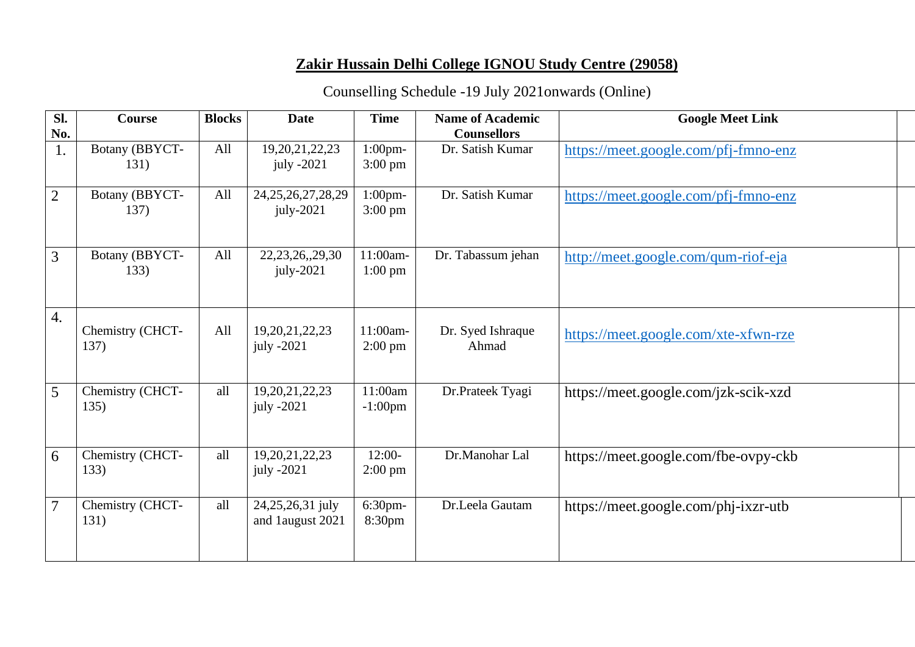## **Zakir Hussain Delhi College IGNOU Study Centre (29058)**

## Counselling Schedule -19 July 2021onwards (Online)

| Sl.            | <b>Course</b>            | <b>Blocks</b> | <b>Date</b>                          | <b>Time</b>                     | <b>Name of Academic</b>    | <b>Google Meet Link</b>              |
|----------------|--------------------------|---------------|--------------------------------------|---------------------------------|----------------------------|--------------------------------------|
| No.            |                          |               |                                      |                                 | <b>Counsellors</b>         |                                      |
| 1.             | Botany (BBYCT-<br>131)   | All           | 19, 20, 21, 22, 23<br>july $-2021$   | $1:00$ pm-<br>$3:00 \text{ pm}$ | Dr. Satish Kumar           | https://meet.google.com/pfj-fmno-enz |
| $\overline{2}$ | Botany (BBYCT-<br>137)   | All           | 24, 25, 26, 27, 28, 29<br>july-2021  | $1:00$ pm-<br>$3:00 \text{ pm}$ | Dr. Satish Kumar           | https://meet.google.com/pfj-fmno-enz |
| 3              | Botany (BBYCT-<br>133)   | All           | 22, 23, 26, 29, 30<br>$july-2021$    | 11:00am-<br>$1:00 \text{ pm}$   | Dr. Tabassum jehan         | http://meet.google.com/qum-riof-eja  |
| 4.             | Chemistry (CHCT-<br>137) | All           | 19, 20, 21, 22, 23<br>july $-2021$   | 11:00am-<br>$2:00 \text{ pm}$   | Dr. Syed Ishraque<br>Ahmad | https://meet.google.com/xte-xfwn-rze |
| 5              | Chemistry (CHCT-<br>135) | all           | 19, 20, 21, 22, 23<br>july -2021     | 11:00am<br>$-1:00$ pm           | Dr.Prateek Tyagi           | https://meet.google.com/jzk-scik-xzd |
| 6              | Chemistry (CHCT-<br>133) | all           | 19, 20, 21, 22, 23<br>july -2021     | $12:00-$<br>$2:00 \text{ pm}$   | Dr.Manohar Lal             | https://meet.google.com/fbe-ovpy-ckb |
| $\overline{7}$ | Chemistry (CHCT-<br>131) | all           | 24,25,26,31 july<br>and 1august 2021 | $6:30$ pm-<br>8:30pm            | Dr.Leela Gautam            | https://meet.google.com/phj-ixzr-utb |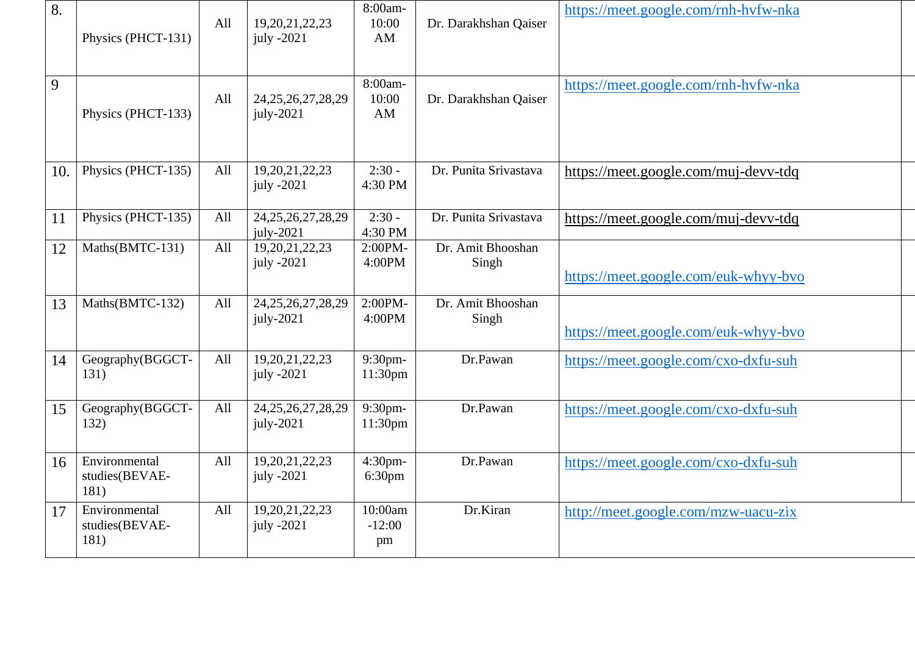| 8.  | Physics (PHCT-131)                      | All | 19, 20, 21, 22, 23<br>july -2021      | 8:00am-<br>10:00<br>AM         | Dr. Darakhshan Qaiser      | https://meet.google.com/rnh-hvfw-nka |
|-----|-----------------------------------------|-----|---------------------------------------|--------------------------------|----------------------------|--------------------------------------|
| 9   | Physics (PHCT-133)                      | All | 24, 25, 26, 27, 28, 29<br>$july-2021$ | 8:00am-<br>10:00<br>AM         | Dr. Darakhshan Qaiser      | https://meet.google.com/rnh-hvfw-nka |
| 10. | Physics (PHCT-135)                      | All | 19,20,21,22,23<br>july $-2021$        | $2:30 -$<br>4:30 PM            | Dr. Punita Srivastava      | https://meet.google.com/muj-devv-tdq |
| 11  | Physics (PHCT-135)                      | All | 24, 25, 26, 27, 28, 29<br>july-2021   | $2:30 -$<br>4:30 PM            | Dr. Punita Srivastava      | https://meet.google.com/muj-devv-tdq |
| 12  | Maths(BMTC-131)                         | All | 19, 20, 21, 22, 23<br>july -2021      | 2:00PM-<br>4:00PM              | Dr. Amit Bhooshan<br>Singh | https://meet.google.com/euk-whyy-bvo |
| 13  | Maths(BMTC-132)                         | All | 24, 25, 26, 27, 28, 29<br>$july-2021$ | 2:00PM-<br>4:00PM              | Dr. Amit Bhooshan<br>Singh | https://meet.google.com/euk-whyy-bvo |
| 14  | Geography(BGGCT-<br>131)                | All | 19,20,21,22,23<br>july -2021          | 9:30pm-<br>11:30pm             | Dr.Pawan                   | https://meet.google.com/cxo-dxfu-suh |
| 15  | Geography(BGGCT-<br>132)                | All | 24, 25, 26, 27, 28, 29<br>$july-2021$ | 9:30pm-<br>11:30 <sub>pm</sub> | Dr.Pawan                   | https://meet.google.com/cxo-dxfu-suh |
| 16  | Environmental<br>studies(BEVAE-<br>181) | All | 19, 20, 21, 22, 23<br>july -2021      | 4:30pm-<br>6:30 <sub>pm</sub>  | Dr.Pawan                   | https://meet.google.com/cxo-dxfu-suh |
| 17  | Environmental<br>studies(BEVAE-<br>181) | All | 19, 20, 21, 22, 23<br>july $-2021$    | 10:00am<br>$-12:00$<br>pm      | Dr.Kiran                   | http://meet.google.com/mzw-uacu-zix  |